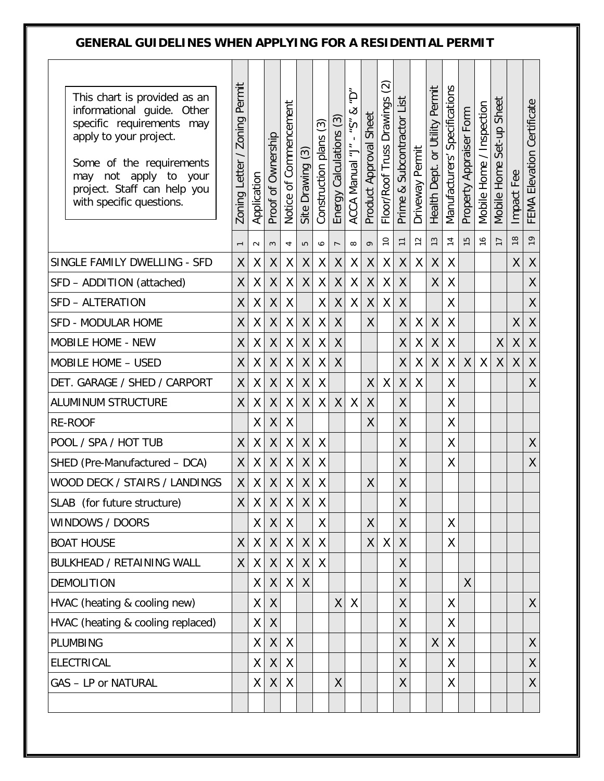## GENERAL GUIDELINES WHEN APPLYING FOR A RESIDENTIAL PERMIT

| This chart is provided as an<br>informational guide. Other<br>specific requirements may<br>apply to your project.<br>Some of the requirements<br>apply to your<br>may<br>not<br>project. Staff can help you<br>with specific questions. | Permit<br><b>Zoning</b><br><b>Zoning Letter</b> | Application        | Proof of Ownership | Notice of Commencement | Site Drawing (3)   | ල<br>Construction plans | ල<br>Energy Calculations | Ģ<br>ళ<br>۴Ş<br>$\mathbf{I}$<br>ACCA Manual "J" | Sheet<br>Product Approval                           | $\widehat{\odot}$<br>Floor/Roof Truss Drawings | List<br>Subcontractor<br>$\infty$<br>Prime | Driveway Permit | Health Dept. or Utility Permit | Manufacturers' Specifications | Property Appraiser Form | Mobile Home / Inspection | Sheet<br>Set-up<br>Mobile Home | Fee<br>Impact | FEMA Elevation Certificate |
|-----------------------------------------------------------------------------------------------------------------------------------------------------------------------------------------------------------------------------------------|-------------------------------------------------|--------------------|--------------------|------------------------|--------------------|-------------------------|--------------------------|-------------------------------------------------|-----------------------------------------------------|------------------------------------------------|--------------------------------------------|-----------------|--------------------------------|-------------------------------|-------------------------|--------------------------|--------------------------------|---------------|----------------------------|
|                                                                                                                                                                                                                                         |                                                 | $\sim$             | $\sim$             | 4                      | $\overline{5}$     | $\bullet$               | $\overline{ }$           | $\infty$                                        | ò                                                   | $\overline{C}$                                 | $\overline{1}$                             | $\overline{c}$  | 13                             | $\overline{1}$                | LO.                     | $\frac{6}{2}$            | $\overline{1}$                 | $\frac{8}{1}$ | $\overline{1}$             |
| SINGLE FAMILY DWELLING - SFD                                                                                                                                                                                                            | X                                               | χ                  | X                  | Χ                      | Χ                  | Χ                       | X                        | Χ                                               | Χ                                                   | X                                              | X.                                         | X               | Χ                              | Χ                             |                         |                          |                                | χ             | Χ                          |
| SFD - ADDITION (attached)                                                                                                                                                                                                               | X                                               | Χ                  | $\sf X$            | Χ                      | X                  | χ                       | $\sf X$                  | X                                               | $\mathsf{X}% _{0}^{\prime}=\mathsf{X}_{0}^{\prime}$ | $\sf X$                                        | X                                          |                 | X                              | X                             |                         |                          |                                |               | $\sf X$                    |
| SFD - ALTERATION                                                                                                                                                                                                                        | X                                               | Χ                  | Χ                  | Χ                      |                    | X                       | Χ                        | Χ                                               | X                                                   | $\sf X$                                        | X                                          |                 |                                | X                             |                         |                          |                                |               | X                          |
| <b>SFD - MODULAR HOME</b>                                                                                                                                                                                                               | X                                               | Χ                  | $\pmb{\mathsf{X}}$ | Χ                      | Χ                  | $\sf X$                 | $\sf X$                  |                                                 | X                                                   |                                                | Χ                                          | Χ               | $\sf X$                        | Χ                             |                         |                          |                                | Χ             | $\pmb{\mathsf{X}}$         |
| MOBILE HOME - NEW                                                                                                                                                                                                                       | X                                               | Χ                  | $\pmb{\mathsf{X}}$ | Χ                      | Χ                  | Χ                       | $\sf X$                  |                                                 |                                                     |                                                | Χ                                          | Χ               | Χ                              | Χ                             |                         |                          | Χ                              | Χ             | $\sf X$                    |
| MOBILE HOME - USED                                                                                                                                                                                                                      | X                                               | X                  | X                  | Χ                      | Χ                  | Χ                       | $\pmb{\mathsf{X}}$       |                                                 |                                                     |                                                | X                                          | χ               | $\pmb{\mathsf{X}}$             | Χ                             | X                       | X                        | X                              | X             | X                          |
| DET. GARAGE / SHED / CARPORT                                                                                                                                                                                                            | X                                               | Χ                  | X                  | Χ                      | X                  | Χ                       |                          |                                                 | X                                                   | X                                              | X                                          | Χ               |                                | X                             |                         |                          |                                |               | $\sf X$                    |
| <b>ALUMINUM STRUCTURE</b>                                                                                                                                                                                                               | $\sf X$                                         | X                  | $\pmb{\mathsf{X}}$ | Χ                      | X                  | $\sf X$                 | $\sf X$                  | Χ                                               | X                                                   |                                                | $\sf X$                                    |                 |                                | X                             |                         |                          |                                |               |                            |
| <b>RE-ROOF</b>                                                                                                                                                                                                                          |                                                 | χ                  | X                  | Χ                      |                    |                         |                          |                                                 | X                                                   |                                                | X                                          |                 |                                | Χ                             |                         |                          |                                |               |                            |
| POOL / SPA / HOT TUB                                                                                                                                                                                                                    | X                                               | Χ                  | Χ                  | X                      | Χ                  | X                       |                          |                                                 |                                                     |                                                | X                                          |                 |                                | X                             |                         |                          |                                |               | Χ                          |
| SHED (Pre-Manufactured - DCA)                                                                                                                                                                                                           | X                                               | Χ                  | Χ                  | Χ                      | Χ                  | χ                       |                          |                                                 |                                                     |                                                | X                                          |                 |                                | X                             |                         |                          |                                |               | X                          |
| WOOD DECK / STAIRS / LANDINGS                                                                                                                                                                                                           | $\pmb{\mathsf{X}}$                              | χ                  | $\chi$             | χ                      | $\pmb{\mathsf{X}}$ | Χ                       |                          |                                                 | Χ                                                   |                                                | X                                          |                 |                                |                               |                         |                          |                                |               |                            |
| SLAB (for future structure)                                                                                                                                                                                                             | $\mathsf{X}$                                    | $\pmb{\mathsf{X}}$ | $\sf X$            | $\mathsf X$            | $\sf X$            | $\sf X$                 |                          |                                                 |                                                     |                                                | $\sf X$                                    |                 |                                |                               |                         |                          |                                |               |                            |
| WINDOWS / DOORS                                                                                                                                                                                                                         |                                                 | X                  | X                  | X                      |                    | X                       |                          |                                                 | X                                                   |                                                | $\mathsf{X}$                               |                 |                                | X                             |                         |                          |                                |               |                            |
| <b>BOAT HOUSE</b>                                                                                                                                                                                                                       | X                                               | X                  | $\mathsf{X}$       | $\mathsf{X}$           | $\sf X$            | X                       |                          |                                                 | X                                                   | X                                              | $\mathsf{X}$                               |                 |                                | X                             |                         |                          |                                |               |                            |
| <b>BULKHEAD / RETAINING WALL</b>                                                                                                                                                                                                        | $\mathsf{X}$                                    | X                  | X                  | X                      | Χ                  | $\sf X$                 |                          |                                                 |                                                     |                                                | $\mathsf{X}$                               |                 |                                |                               |                         |                          |                                |               |                            |
| <b>DEMOLITION</b>                                                                                                                                                                                                                       |                                                 | X.                 | X                  | X.                     | $\sf X$            |                         |                          |                                                 |                                                     |                                                | $\mathsf{X}$                               |                 |                                |                               | $\sf X$                 |                          |                                |               |                            |
| HVAC (heating & cooling new)                                                                                                                                                                                                            |                                                 | X                  | X                  |                        |                    |                         | X                        | X                                               |                                                     |                                                | X                                          |                 |                                | X                             |                         |                          |                                |               | $\mathsf{X}$               |
| HVAC (heating & cooling replaced)                                                                                                                                                                                                       |                                                 | X                  | X                  |                        |                    |                         |                          |                                                 |                                                     |                                                | X                                          |                 |                                | Χ                             |                         |                          |                                |               |                            |
| PLUMBING                                                                                                                                                                                                                                |                                                 | X                  | $\sf X$            | X                      |                    |                         |                          |                                                 |                                                     |                                                | X                                          |                 | X                              | X                             |                         |                          |                                |               | X                          |
| <b>ELECTRICAL</b>                                                                                                                                                                                                                       |                                                 | χ                  | X                  | X                      |                    |                         |                          |                                                 |                                                     |                                                | $\mathsf{X}$                               |                 |                                | X                             |                         |                          |                                |               | X                          |
| <b>GAS - LP or NATURAL</b>                                                                                                                                                                                                              |                                                 | X                  | X                  | X                      |                    |                         | X                        |                                                 |                                                     |                                                | X                                          |                 |                                | X                             |                         |                          |                                |               | X                          |
|                                                                                                                                                                                                                                         |                                                 |                    |                    |                        |                    |                         |                          |                                                 |                                                     |                                                |                                            |                 |                                |                               |                         |                          |                                |               |                            |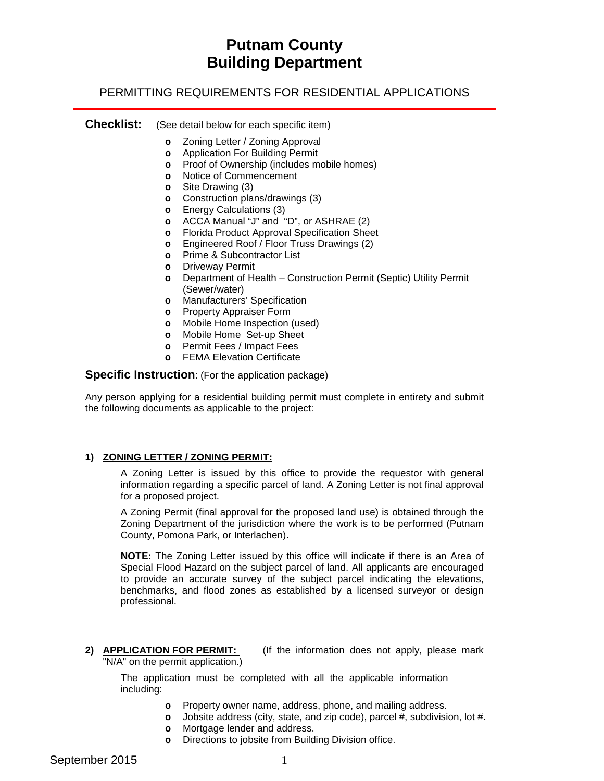# **Putnam County Building Department**

## PERMITTING REQUIREMENTS FOR RESIDENTIAL APPLICATIONS

## **Checklist:** (See detail below for each specific item)

- **o** Zoning Letter / Zoning Approval
- **o** Application For Building Permit
- **o** Proof of Ownership (includes mobile homes)
- **o** Notice of Commencement
- **o** Site Drawing (3)
- **o** Construction plans/drawings (3)
- **o** Energy Calculations (3)
- **o** ACCA Manual "J" and "D", or ASHRAE (2)
- **o** Florida Product Approval Specification Sheet
- **o** Engineered Roof / Floor Truss Drawings (2)
- **o** Prime & Subcontractor List
- **o** Driveway Permit
- **o** Department of Health Construction Permit (Septic) Utility Permit (Sewer/water)
- **o** Manufacturers' Specification
- **o** Property Appraiser Form
- **o** Mobile Home Inspection (used)
- **o** Mobile Home Set-up Sheet
- **o** Permit Fees / Impact Fees
- **o** FEMA Elevation Certificate

**Specific Instruction**: (For the application package)

Any person applying for a residential building permit must complete in entirety and submit the following documents as applicable to the project:

## **1) ZONING LETTER / ZONING PERMIT:**

A Zoning Letter is issued by this office to provide the requestor with general information regarding a specific parcel of land. A Zoning Letter is not final approval for a proposed project.

A Zoning Permit (final approval for the proposed land use) is obtained through the Zoning Department of the jurisdiction where the work is to be performed (Putnam County, Pomona Park, or Interlachen).

**NOTE:** The Zoning Letter issued by this office will indicate if there is an Area of Special Flood Hazard on the subject parcel of land. All applicants are encouraged to provide an accurate survey of the subject parcel indicating the elevations, benchmarks, and flood zones as established by a licensed surveyor or design professional.

**2) APPLICATION FOR PERMIT:** (If the information does not apply, please mark "N/A" on the permit application.)

The application must be completed with all the applicable information including:

- **o** Property owner name, address, phone, and mailing address.
- **o** Jobsite address (city, state, and zip code), parcel #, subdivision, lot #.
- **o** Mortgage lender and address.
- **o** Directions to jobsite from Building Division office.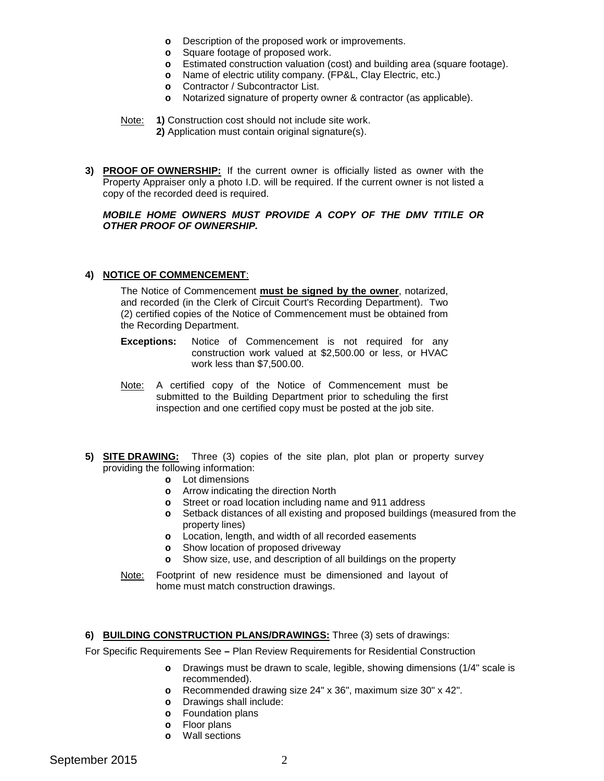- **o** Description of the proposed work or improvements.
- **o** Square footage of proposed work.
- **o** Estimated construction valuation (cost) and building area (square footage).
- **o** Name of electric utility company. (FP&L, Clay Electric, etc.)
- **o** Contractor / Subcontractor List.
- **o** Notarized signature of property owner & contractor (as applicable).

Note: **1)** Construction cost should not include site work.

**2)** Application must contain original signature(s).

**3) PROOF OF OWNERSHIP:** If the current owner is officially listed as owner with the Property Appraiser only a photo I.D. will be required. If the current owner is not listed a copy of the recorded deed is required.

## *MOBILE HOME OWNERS MUST PROVIDE A COPY OF THE DMV TITILE OR OTHER PROOF OF OWNERSHIP.*

## **4) NOTICE OF COMMENCEMENT**:

The Notice of Commencement **must be signed by the owner**, notarized, and recorded (in the Clerk of Circuit Court's Recording Department). Two (2) certified copies of the Notice of Commencement must be obtained from the Recording Department.

- **Exceptions:** Notice of Commencement is not required for any construction work valued at \$2,500.00 or less, or HVAC work less than \$7,500.00.
- Note: A certified copy of the Notice of Commencement must be submitted to the Building Department prior to scheduling the first inspection and one certified copy must be posted at the job site.
- **5) SITE DRAWING:** Three (3) copies of the site plan, plot plan or property survey providing the following information:
	- **o** Lot dimensions
	- **o** Arrow indicating the direction North
	- **o** Street or road location including name and 911 address
	- **o** Setback distances of all existing and proposed buildings (measured from the property lines)
	- **o** Location, length, and width of all recorded easements
	- **o** Show location of proposed driveway
	- **o** Show size, use, and description of all buildings on the property
	- Note: Footprint of new residence must be dimensioned and layout of home must match construction drawings.

## **6) BUILDING CONSTRUCTION PLANS/DRAWINGS:** Three (3) sets of drawings:

For Specific Requirements See **–** Plan Review Requirements for Residential Construction

- **o** Drawings must be drawn to scale, legible, showing dimensions (1/4" scale is recommended).
- **o** Recommended drawing size 24" x 36", maximum size 30" x 42".
- **o** Drawings shall include:
- **o** Foundation plans
- **o** Floor plans
- **o** Wall sections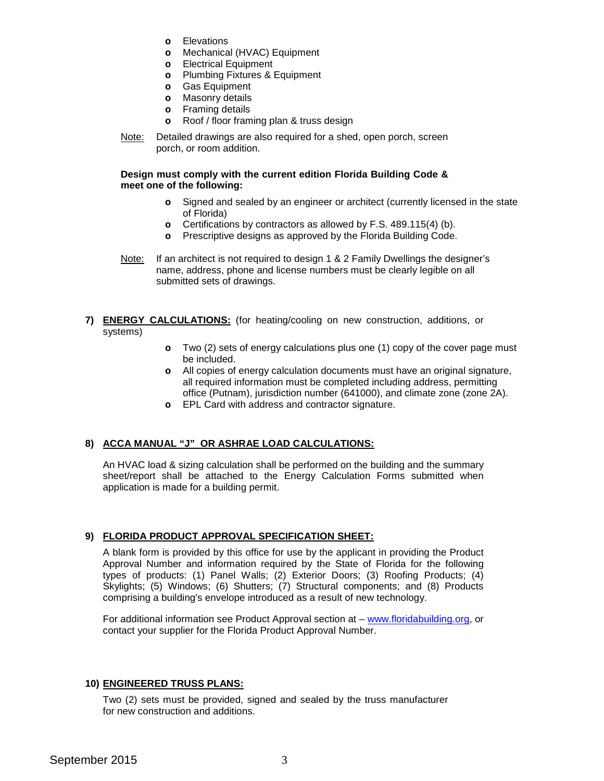- **o** Elevations
- **o** Mechanical (HVAC) Equipment
- **o** Electrical Equipment
- **o** Plumbing Fixtures & Equipment
- **o** Gas Equipment
- **o** Masonry details
- **o** Framing details
- **o** Roof / floor framing plan & truss design
- Note: Detailed drawings are also required for a shed, open porch, screen porch, or room addition.

## **Design must comply with the current edition Florida Building Code & meet one of the following:**

- **o** Signed and sealed by an engineer or architect (currently licensed in the state of Florida)
- **o** Certifications by contractors as allowed by F.S. 489.115(4) (b).
- **o** Prescriptive designs as approved by the Florida Building Code.
- Note: If an architect is not required to design 1 & 2 Family Dwellings the designer's name, address, phone and license numbers must be clearly legible on all submitted sets of drawings.
- **7) ENERGY CALCULATIONS:** (for heating/cooling on new construction, additions, or systems)
	- **o** Two (2) sets of energy calculations plus one (1) copy of the cover page must be included.
	- **o** All copies of energy calculation documents must have an original signature, all required information must be completed including address, permitting office (Putnam), jurisdiction number (641000), and climate zone (zone 2A).
	- **o** EPL Card with address and contractor signature.

## **8) ACCA MANUAL "J" OR ASHRAE LOAD CALCULATIONS:**

An HVAC load & sizing calculation shall be performed on the building and the summary sheet/report shall be attached to the Energy Calculation Forms submitted when application is made for a building permit.

## **9) FLORIDA PRODUCT APPROVAL SPECIFICATION SHEET:**

A blank form is provided by this office for use by the applicant in providing the Product Approval Number and information required by the State of Florida for the following types of products: (1) Panel Walls; (2) Exterior Doors; (3) Roofing Products; (4) Skylights; (5) Windows; (6) Shutters; (7) Structural components; and (8) Products comprising a building's envelope introduced as a result of new technology.

For additional information see Product Approval section at – [www.floridabuilding.org,](http://www.floridabuilding.org/) or contact your supplier for the Florida Product Approval Number.

## **10) ENGINEERED TRUSS PLANS:**

Two (2) sets must be provided, signed and sealed by the truss manufacturer for new construction and additions.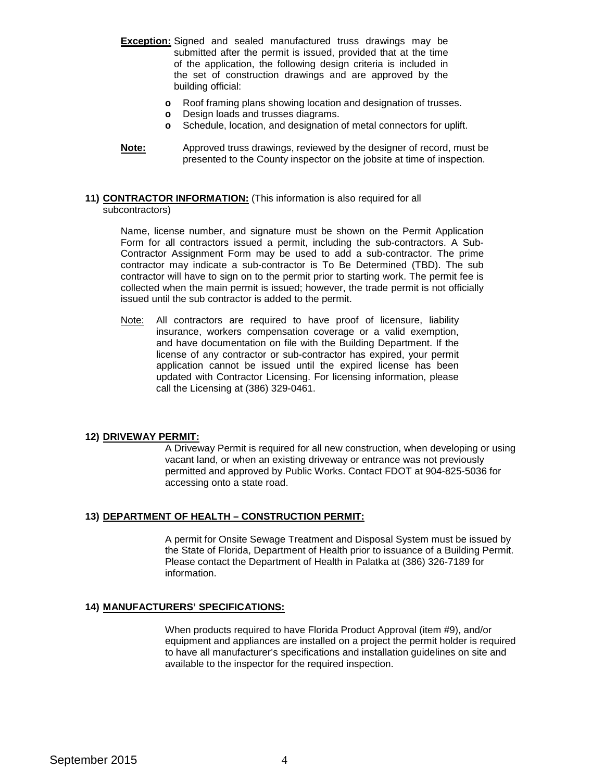- **Exception:** Signed and sealed manufactured truss drawings may be submitted after the permit is issued, provided that at the time of the application, the following design criteria is included in the set of construction drawings and are approved by the building official:
	- **o** Roof framing plans showing location and designation of trusses.
	- **o** Design loads and trusses diagrams.
	- **o** Schedule, location, and designation of metal connectors for uplift.
- **Note:** Approved truss drawings, reviewed by the designer of record, must be presented to the County inspector on the jobsite at time of inspection.

#### **11) CONTRACTOR INFORMATION:** (This information is also required for all subcontractors)

Name, license number, and signature must be shown on the Permit Application Form for all contractors issued a permit, including the sub-contractors. A Sub-Contractor Assignment Form may be used to add a sub-contractor. The prime contractor may indicate a sub-contractor is To Be Determined (TBD). The sub contractor will have to sign on to the permit prior to starting work. The permit fee is collected when the main permit is issued; however, the trade permit is not officially issued until the sub contractor is added to the permit.

Note: All contractors are required to have proof of licensure, liability insurance, workers compensation coverage or a valid exemption, and have documentation on file with the Building Department. If the license of any contractor or sub-contractor has expired, your permit application cannot be issued until the expired license has been updated with Contractor Licensing. For licensing information, please call the Licensing at (386) 329-0461.

## **12) DRIVEWAY PERMIT:**

A Driveway Permit is required for all new construction, when developing or using vacant land, or when an existing driveway or entrance was not previously permitted and approved by Public Works. Contact FDOT at 904-825-5036 for accessing onto a state road.

## **13) DEPARTMENT OF HEALTH – CONSTRUCTION PERMIT:**

A permit for Onsite Sewage Treatment and Disposal System must be issued by the State of Florida, Department of Health prior to issuance of a Building Permit. Please contact the Department of Health in Palatka at (386) 326-7189 for information.

## **14) MANUFACTURERS' SPECIFICATIONS:**

When products required to have Florida Product Approval (item #9), and/or equipment and appliances are installed on a project the permit holder is required to have all manufacturer's specifications and installation guidelines on site and available to the inspector for the required inspection.